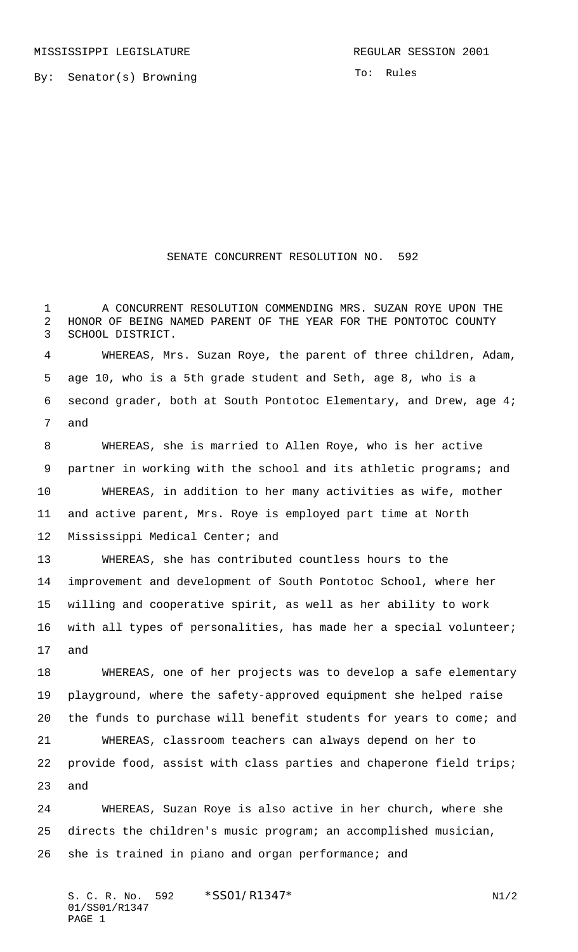By: Senator(s) Browning

To: Rules

## SENATE CONCURRENT RESOLUTION NO. 592

 A CONCURRENT RESOLUTION COMMENDING MRS. SUZAN ROYE UPON THE HONOR OF BEING NAMED PARENT OF THE YEAR FOR THE PONTOTOC COUNTY SCHOOL DISTRICT.

 WHEREAS, Mrs. Suzan Roye, the parent of three children, Adam, age 10, who is a 5th grade student and Seth, age 8, who is a second grader, both at South Pontotoc Elementary, and Drew, age 4; and

 WHEREAS, she is married to Allen Roye, who is her active partner in working with the school and its athletic programs; and WHEREAS, in addition to her many activities as wife, mother and active parent, Mrs. Roye is employed part time at North Mississippi Medical Center; and

 WHEREAS, she has contributed countless hours to the improvement and development of South Pontotoc School, where her willing and cooperative spirit, as well as her ability to work with all types of personalities, has made her a special volunteer; and

 WHEREAS, one of her projects was to develop a safe elementary playground, where the safety-approved equipment she helped raise the funds to purchase will benefit students for years to come; and WHEREAS, classroom teachers can always depend on her to provide food, assist with class parties and chaperone field trips; and

 WHEREAS, Suzan Roye is also active in her church, where she directs the children's music program; an accomplished musician, she is trained in piano and organ performance; and